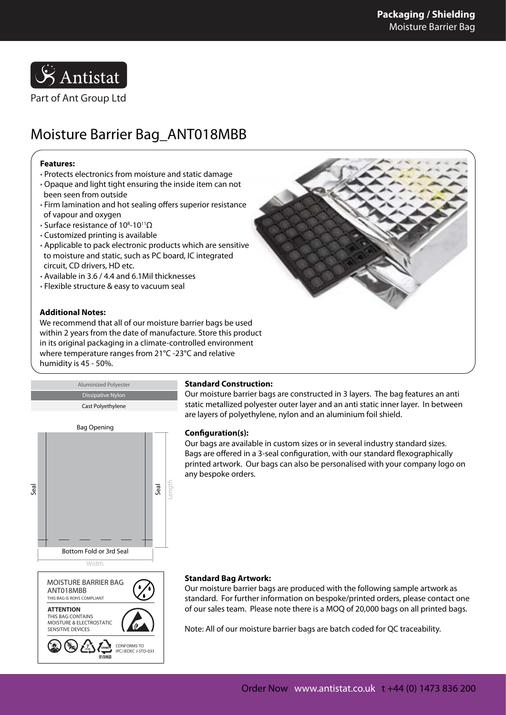

# Moisture Barrier Bag\_ANT018MBB

## **Features:**

- Protects electronics from moisture and static damage • Opaque and light tight ensuring the inside item can not
- been seen from outside
- Firm lamination and hot sealing offers superior resistance of vapour and oxygen
- Surface resistance of 10<sup>8</sup>-10<sup>11</sup>Ω
- Customized printing is available
- Applicable to pack electronic products which are sensitive to moisture and static, such as PC board, IC integrated circuit, CD drivers, HD etc.
- Available in 3.6 / 4.4 and 6.1Mil thicknesses
- Flexible structure & easy to vacuum seal

## **Additional Notes:**

We recommend that all of our moisture barrier bags be used within 2 years from the date of manufacture. Store this product in its original packaging in a climate-controlled environment where temperature ranges from 21°C -23°C and relative humidity is 45 - 50%.





Cast Polyethylene



MOISTURE & ELECTROSTATIC SENSITIVE DEVICES

**7**

CONFORMS TO IPC/JEDEC J-STD-033

## **Standard Construction:**

Our moisture barrier bags are constructed in 3 layers. The bag features an anti static metallized polyester outer layer and an anti static inner layer. In between are layers of polyethylene, nylon and an aluminium foil shield.

### **Configuration(s):**

Our bags are available in custom sizes or in several industry standard sizes. Bags are offered in a 3-seal configuration, with our standard flexographically printed artwork. Our bags can also be personalised with your company logo on any bespoke orders.

### **Standard Bag Artwork:**

Our moisture barrier bags are produced with the following sample artwork as standard. For further information on bespoke/printed orders, please contact one of our sales team. Please note there is a MOQ of 20,000 bags on all printed bags.

Note: All of our moisture barrier bags are batch coded for QC traceability.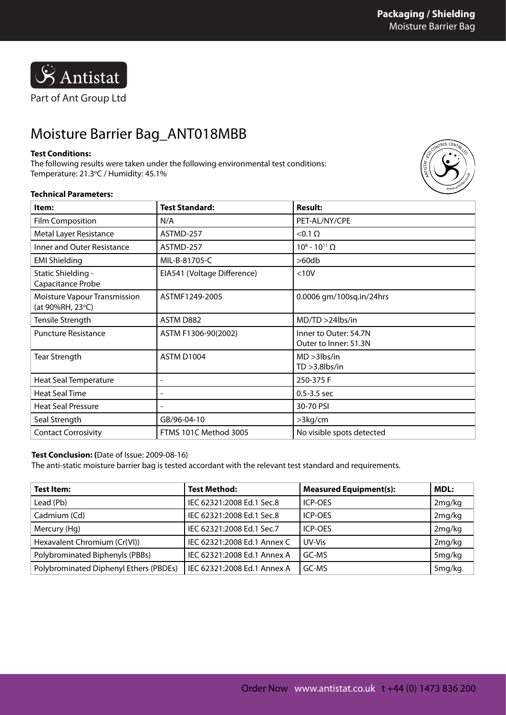

## Moisture Barrier Bag\_ANT018MBB

### **Test Conditions:**

The following results were taken under the following environmental test conditions: Temperature: 21.3°C / Humidity: 45.1%



### **Technical Parameters:**

| Item:                                                   | <b>Test Standard:</b>       | <b>Result:</b>                                 |  |
|---------------------------------------------------------|-----------------------------|------------------------------------------------|--|
| <b>Film Composition</b>                                 | N/A                         | PET-AL/NY/CPE                                  |  |
| Metal Layer Resistance                                  | ASTMD-257                   | $<$ 0.1 $\Omega$                               |  |
| Inner and Outer Resistance                              | ASTMD-257                   | $10^8 - 10^{11} \Omega$                        |  |
| <b>EMI Shielding</b>                                    | MIL-B-81705-C               | >60db                                          |  |
| Static Shielding -<br>Capacitance Probe                 | EIA541 (Voltage Difference) | < 10V                                          |  |
| <b>Moisture Vapour Transmission</b><br>(at 90%RH, 23°C) | ASTMF1249-2005              | 0.0006 gm/100sq.in/24hrs                       |  |
| Tensile Strength                                        | ASTM D882                   | MD/TD > 24lbs/in                               |  |
| <b>Puncture Resistance</b>                              | ASTM F1306-90(2002)         | Inner to Outer: 54.7N<br>Outer to Inner: 51.3N |  |
| <b>Tear Strength</b>                                    | ASTM D1004                  | $MD > 3$ lbs/in<br>$TD > 3.8$ lbs/in           |  |
| Heat Seal Temperature                                   |                             | 250-375 F                                      |  |
| <b>Heat Seal Time</b>                                   |                             | $0.5 - 3.5$ sec                                |  |
| <b>Heat Seal Pressure</b>                               |                             | 30-70 PSI                                      |  |
| Seal Strength                                           | GB/96-04-10                 | >3kg/cm                                        |  |
| <b>Contact Corrosivity</b>                              | FTMS 101C Method 3005       | No visible spots detected                      |  |

### **Test Conclusion: (**Date of Issue: 2009-08-16)

The anti-static moisture barrier bag is tested accordant with the relevant test standard and requirements.

| Test Item:                             | <b>Test Method:</b>         | <b>Measured Equipment(s):</b> | MDL:   |
|----------------------------------------|-----------------------------|-------------------------------|--------|
| Lead (Pb)                              | IEC 62321:2008 Ed.1 Sec.8   | ICP-OES                       | 2mg/kg |
| Cadmium (Cd)                           | IEC 62321:2008 Ed.1 Sec.8   | ICP-OES                       | 2mg/kg |
| Mercury (Hg)                           | IEC 62321:2008 Ed.1 Sec.7   | <b>ICP-OES</b>                | 2mg/kg |
| Hexavalent Chromium (Cr(VI))           | IEC 62321:2008 Ed.1 Annex C | UV-Vis                        | 2mg/kg |
| Polybrominated Biphenyls (PBBs)        | IEC 62321:2008 Ed.1 Annex A | GC-MS                         | 5mg/kg |
| Polybrominated Diphenyl Ethers (PBDEs) | IEC 62321:2008 Ed.1 Annex A | GC-MS                         | 5mg/kg |